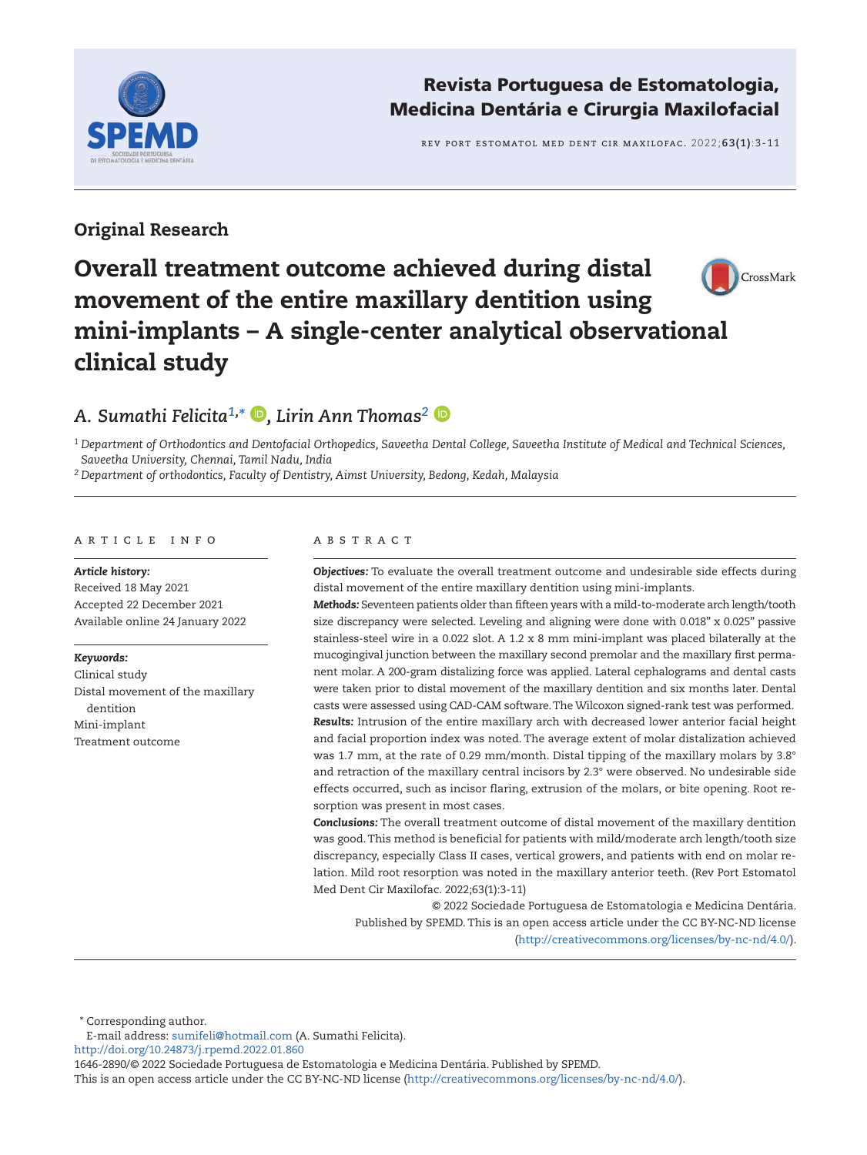

## Revista Portuguesa de Estomatologia, Medicina Dentária e Cirurgia Maxilofacial

rev port estomatol med dent cir maxilofac. 2022;**63(1)**:3-11

## Original Research

# Overall treatment outcome achieved during distal CrossMark movement of the entire maxillary dentition using mini-implants – A single-center analytical observational clinical study

# *A. Sumathi Felicita1, \* [,](https://orcid.org/0000-0003-2002-0140) Lirin Ann Thomas2*

*1 Department of Orthodontics and Dentofacial Orthopedics, Saveetha Dental College, Saveetha Institute of Medical and Technical Sciences, Saveetha University, Chennai, Tamil Nadu, India*

*2 Department of orthodontics, Faculty of Dentistry, Aimst University, Bedong, Kedah, Malaysia*

#### A R T I C L E I N F O A B S T R A C T

*Article history:* Received 18 May 2021 Accepted 22 December 2021

Available online 24 January 2022

#### *Keywords:*

Clinical study Distal movement of the maxillary dentition Mini-implant Treatment outcome

*Objectives:* To evaluate the overall treatment outcome and undesirable side effects during distal movement of the entire maxillary dentition using mini-implants.

*Methods:* Seventeen patients older than fifteen years with a mild-to-moderate arch length/tooth size discrepancy were selected. Leveling and aligning were done with 0.018" x 0.025" passive stainless-steel wire in a 0.022 slot. A 1.2 x 8 mm mini-implant was placed bilaterally at the mucogingival junction between the maxillary second premolar and the maxillary first permanent molar. A 200-gram distalizing force was applied. Lateral cephalograms and dental casts were taken prior to distal movement of the maxillary dentition and six months later. Dental casts were assessed using CAD-CAM software. The Wilcoxon signed-rank test was performed. *Results:* Intrusion of the entire maxillary arch with decreased lower anterior facial height and facial proportion index was noted. The average extent of molar distalization achieved was 1.7 mm, at the rate of 0.29 mm/month. Distal tipping of the maxillary molars by 3.8° and retraction of the maxillary central incisors by 2.3° were observed. No undesirable side effects occurred, such as incisor flaring, extrusion of the molars, or bite opening. Root resorption was present in most cases.

*Conclusions:* The overall treatment outcome of distal movement of the maxillary dentition was good. This method is beneficial for patients with mild/moderate arch length/tooth size discrepancy, especially Class II cases, vertical growers, and patients with end on molar relation. Mild root resorption was noted in the maxillary anterior teeth. (Rev Port Estomatol Med Dent Cir Maxilofac. 2022;63(1):3-11)

© 2022 Sociedade Portuguesa de Estomatologia e Medicina Dentária. Published by SPEMD. This is an open access article under the CC BY-NC-ND license [\(http://creativecommons.org/licenses/by-nc-nd/4.0/\)](http://creativecommons.org/licenses/by-nc-nd/4.0/).

\* Corresponding author.

E-mail address: [sumifeli@hotmail.com](mailto:sumifeli%40hotmail.com?subject=) (A. Sumathi Felicita).

<http://doi.org/10.24873/j.rpemd.2022.01.860>

1646-2890/© 2022 Sociedade Portuguesa de Estomatologia e Medicina Dentária. Published by SPEMD.

This is an open access article under the CC BY-NC-ND license ([http://creativecommons.org/licenses/by-nc-nd/4.0/\)](http://creativecommons.org/licenses/by-nc-nd/4.0/).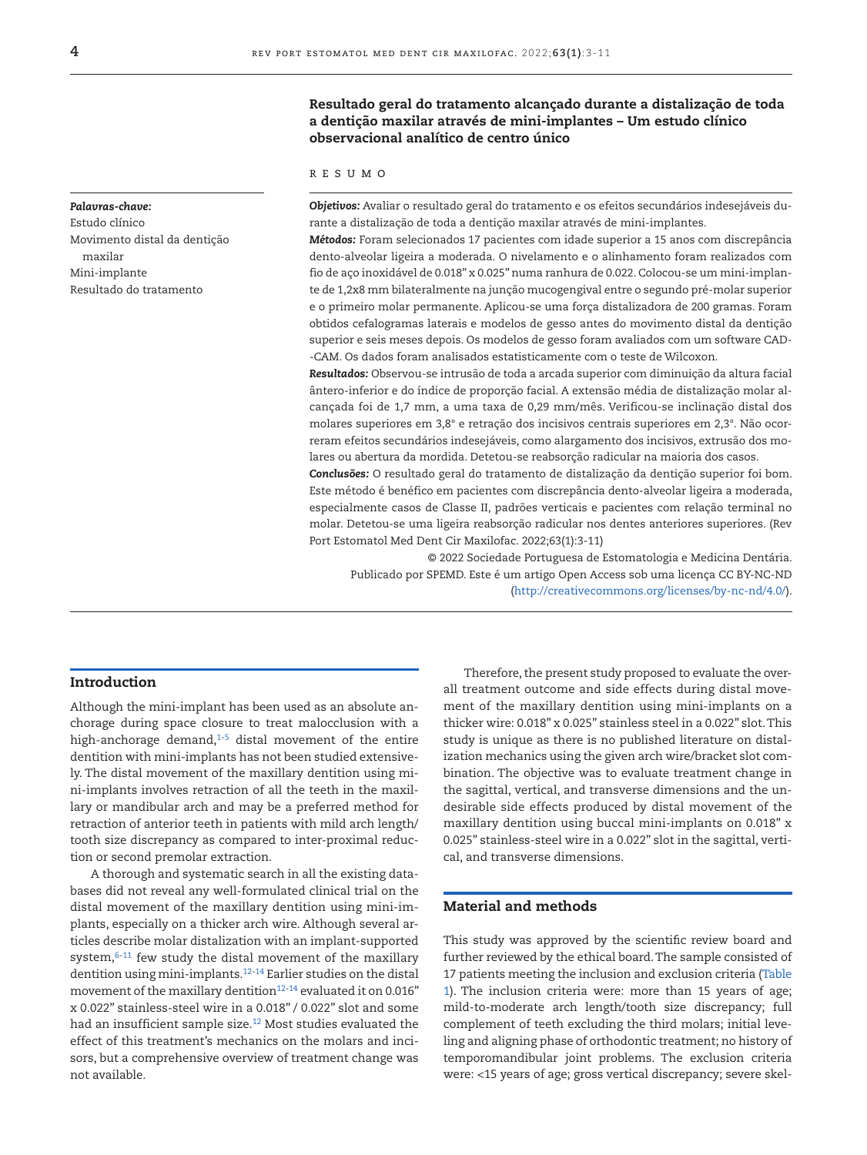#### Resultado geral do tratamento alcançado durante a distalização de toda a dentição maxilar através de mini-implantes – Um estudo clínico observacional analítico de centro único

#### r e s u m o

*Objetivos:* Avaliar o resultado geral do tratamento e os efeitos secundários indesejáveis durante a distalização de toda a dentição maxilar através de mini-implantes.

*Métodos:* Foram selecionados 17 pacientes com idade superior a 15 anos com discrepância dento-alveolar ligeira a moderada. O nivelamento e o alinhamento foram realizados com fio de aço inoxidável de 0.018" x 0.025" numa ranhura de 0.022. Colocou-se um mini-implante de 1,2x8 mm bilateralmente na junção mucogengival entre o segundo pré-molar superior e o primeiro molar permanente. Aplicou-se uma força distalizadora de 200 gramas. Foram obtidos cefalogramas laterais e modelos de gesso antes do movimento distal da dentição superior e seis meses depois. Os modelos de gesso foram avaliados com um software CAD- -CAM. Os dados foram analisados estatisticamente com o teste de Wilcoxon.

*Resultados:* Observou-se intrusão de toda a arcada superior com diminuição da altura facial ântero-inferior e do índice de proporção facial. A extensão média de distalização molar alcançada foi de 1,7 mm, a uma taxa de 0,29 mm/mês. Verificou-se inclinação distal dos molares superiores em 3,8° e retração dos incisivos centrais superiores em 2,3°. Não ocorreram efeitos secundários indesejáveis, como alargamento dos incisivos, extrusão dos molares ou abertura da mordida. Detetou-se reabsorção radicular na maioria dos casos.

*Conclusões:* O resultado geral do tratamento de distalização da dentição superior foi bom. Este método é benéfico em pacientes com discrepância dento-alveolar ligeira a moderada, especialmente casos de Classe II, padrões verticais e pacientes com relação terminal no molar. Detetou-se uma ligeira reabsorção radicular nos dentes anteriores superiores. (Rev Port Estomatol Med Dent Cir Maxilofac. 2022;63(1):3-11)

© 2022 Sociedade Portuguesa de Estomatologia e Medicina Dentária. Publicado por SPEMD. Este é um artigo Open Access sob uma licença CC BY-NC-ND [\(http://creativecommons.org/licenses/by-nc-nd/4.0/](http://creativecommons.org/licenses/by-nc-nd/4.0/)).

#### *Palavras-chave:*

Estudo clínico Movimento distal da dentição maxilar Mini-implante Resultado do tratamento

#### Introduction

Although the mini-implant has been used as an absolute anchorage during space closure to treat malocclusion with a high-anchorage demand, $1-5$  $1-5$  distal movement of the entire dentition with mini-implants has not been studied extensively. The distal movement of the maxillary dentition using mini-implants involves retraction of all the teeth in the maxillary or mandibular arch and may be a preferred method for retraction of anterior teeth in patients with mild arch length/ tooth size discrepancy as compared to inter-proximal reduction or second premolar extraction.

A thorough and systematic search in all the existing databases did not reveal any well-formulated clinical trial on the distal movement of the maxillary dentition using mini-implants, especially on a thicker arch wire. Although several articles describe molar distalization with an implant-supported system,[6](#page-8-2)[-11](#page-8-3) few study the distal movement of the maxillary dentition using mini-implants[.12](#page-8-4)[-14](#page-8-5) Earlier studies on the distal movement of the maxillary dentition $12-14$  evaluated it on 0.016" x 0.022" stainless-steel wire in a 0.018" / 0.022" slot and some had an insufficient sample size[.12](#page-8-4) Most studies evaluated the effect of this treatment's mechanics on the molars and incisors, but a comprehensive overview of treatment change was not available.

Therefore, the present study proposed to evaluate the overall treatment outcome and side effects during distal movement of the maxillary dentition using mini-implants on a thicker wire: 0.018" x 0.025" stainless steel in a 0.022" slot. This study is unique as there is no published literature on distalization mechanics using the given arch wire/bracket slot combination. The objective was to evaluate treatment change in the sagittal, vertical, and transverse dimensions and the undesirable side effects produced by distal movement of the maxillary dentition using buccal mini-implants on 0.018" x 0.025" stainless-steel wire in a 0.022" slot in the sagittal, vertical, and transverse dimensions.

#### Material and methods

This study was approved by the scientific review board and further reviewed by the ethical board. The sample consisted of 17 patients meeting the inclusion and exclusion criteria ([Table](#page-2-0) [1](#page-2-0)). The inclusion criteria were: more than 15 years of age; mild-to-moderate arch length/tooth size discrepancy; full complement of teeth excluding the third molars; initial leveling and aligning phase of orthodontic treatment; no history of temporomandibular joint problems. The exclusion criteria were: <15 years of age; gross vertical discrepancy; severe skel-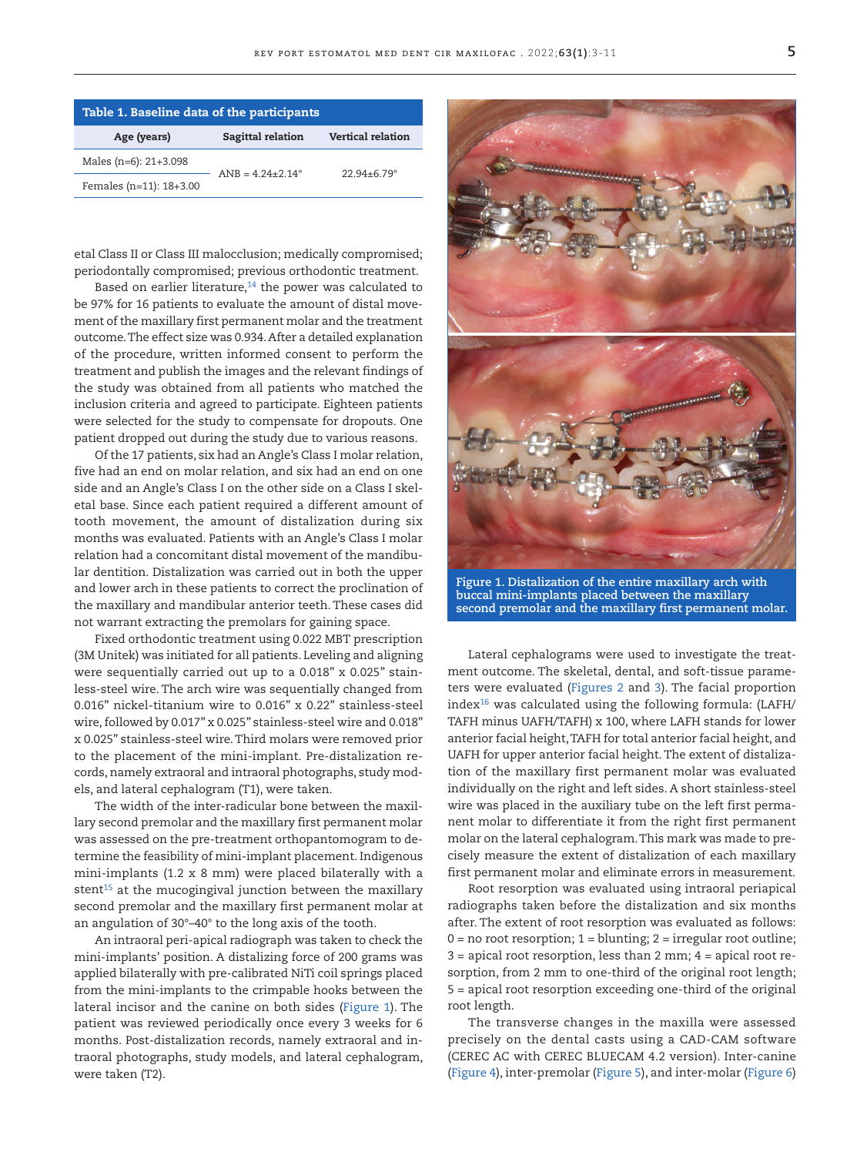<span id="page-2-0"></span>

| Table 1. Baseline data of the participants |                             |                   |  |  |  |  |  |
|--------------------------------------------|-----------------------------|-------------------|--|--|--|--|--|
| Age (years)                                | Sagittal relation           | Vertical relation |  |  |  |  |  |
| Males (n=6): 21+3.098                      | $ANB = 4.24 + 2.14^{\circ}$ | $2294+679$ °      |  |  |  |  |  |
| Females (n=11): 18+3.00                    |                             |                   |  |  |  |  |  |

etal Class II or Class III malocclusion; medically compromised; periodontally compromised; previous orthodontic treatment.

Based on earlier literature, $14$  the power was calculated to be 97% for 16 patients to evaluate the amount of distal movement of the maxillary first permanent molar and the treatment outcome. The effect size was 0.934. After a detailed explanation of the procedure, written informed consent to perform the treatment and publish the images and the relevant findings of the study was obtained from all patients who matched the inclusion criteria and agreed to participate. Eighteen patients were selected for the study to compensate for dropouts. One patient dropped out during the study due to various reasons.

Of the 17 patients, six had an Angle's Class I molar relation, five had an end on molar relation, and six had an end on one side and an Angle's Class I on the other side on a Class I skeletal base. Since each patient required a different amount of tooth movement, the amount of distalization during six months was evaluated. Patients with an Angle's Class I molar relation had a concomitant distal movement of the mandibular dentition. Distalization was carried out in both the upper and lower arch in these patients to correct the proclination of the maxillary and mandibular anterior teeth. These cases did not warrant extracting the premolars for gaining space.

Fixed orthodontic treatment using 0.022 MBT prescription (3M Unitek) was initiated for all patients. Leveling and aligning were sequentially carried out up to a 0.018" x 0.025" stainless-steel wire. The arch wire was sequentially changed from 0.016" nickel-titanium wire to 0.016" x 0.22" stainless-steel wire, followed by 0.017" x 0.025" stainless-steel wire and 0.018" x 0.025" stainless-steel wire. Third molars were removed prior to the placement of the mini-implant. Pre-distalization records, namely extraoral and intraoral photographs, study models, and lateral cephalogram (T1), were taken.

The width of the inter-radicular bone between the maxillary second premolar and the maxillary first permanent molar was assessed on the pre-treatment orthopantomogram to determine the feasibility of mini-implant placement. Indigenous mini-implants (1.2 x 8 mm) were placed bilaterally with a stent $15$  at the mucogingival junction between the maxillary second premolar and the maxillary first permanent molar at an angulation of 30°–40° to the long axis of the tooth.

An intraoral peri-apical radiograph was taken to check the mini-implants' position. A distalizing force of 200 grams was applied bilaterally with pre-calibrated NiTi coil springs placed from the mini-implants to the crimpable hooks between the lateral incisor and the canine on both sides ([Figure 1](#page-2-1)). The patient was reviewed periodically once every 3 weeks for 6 months. Post-distalization records, namely extraoral and intraoral photographs, study models, and lateral cephalogram, were taken (T2).



**Figure 1. Distalization of the entire maxillary arch with buccal mini-implants placed between the maxillary second premolar and the maxillary first permanent molar.**

<span id="page-2-1"></span>Lateral cephalograms were used to investigate the treatment outcome. The skeletal, dental, and soft-tissue parameters were evaluated [\(Figures 2](#page-3-0) and [3](#page-3-1)). The facial proportion index $16$  was calculated using the following formula: (LAFH/ TAFH minus UAFH/TAFH) x 100, where LAFH stands for lower anterior facial height, TAFH for total anterior facial height, and UAFH for upper anterior facial height. The extent of distalization of the maxillary first permanent molar was evaluated individually on the right and left sides. A short stainless-steel wire was placed in the auxiliary tube on the left first permanent molar to differentiate it from the right first permanent molar on the lateral cephalogram. This mark was made to precisely measure the extent of distalization of each maxillary first permanent molar and eliminate errors in measurement.

Root resorption was evaluated using intraoral periapical radiographs taken before the distalization and six months after. The extent of root resorption was evaluated as follows:  $0 =$  no root resorption;  $1 =$  blunting;  $2 =$  irregular root outline; 3 = apical root resorption, less than 2 mm; 4 = apical root resorption, from 2 mm to one-third of the original root length; 5 = apical root resorption exceeding one-third of the original root length.

The transverse changes in the maxilla were assessed precisely on the dental casts using a CAD-CAM software (CEREC AC with CEREC BLUECAM 4.2 version). Inter-canine [\(Figure 4\)](#page-4-0), inter-premolar ([Figure 5\)](#page-4-1), and inter-molar ([Figure 6\)](#page-4-2)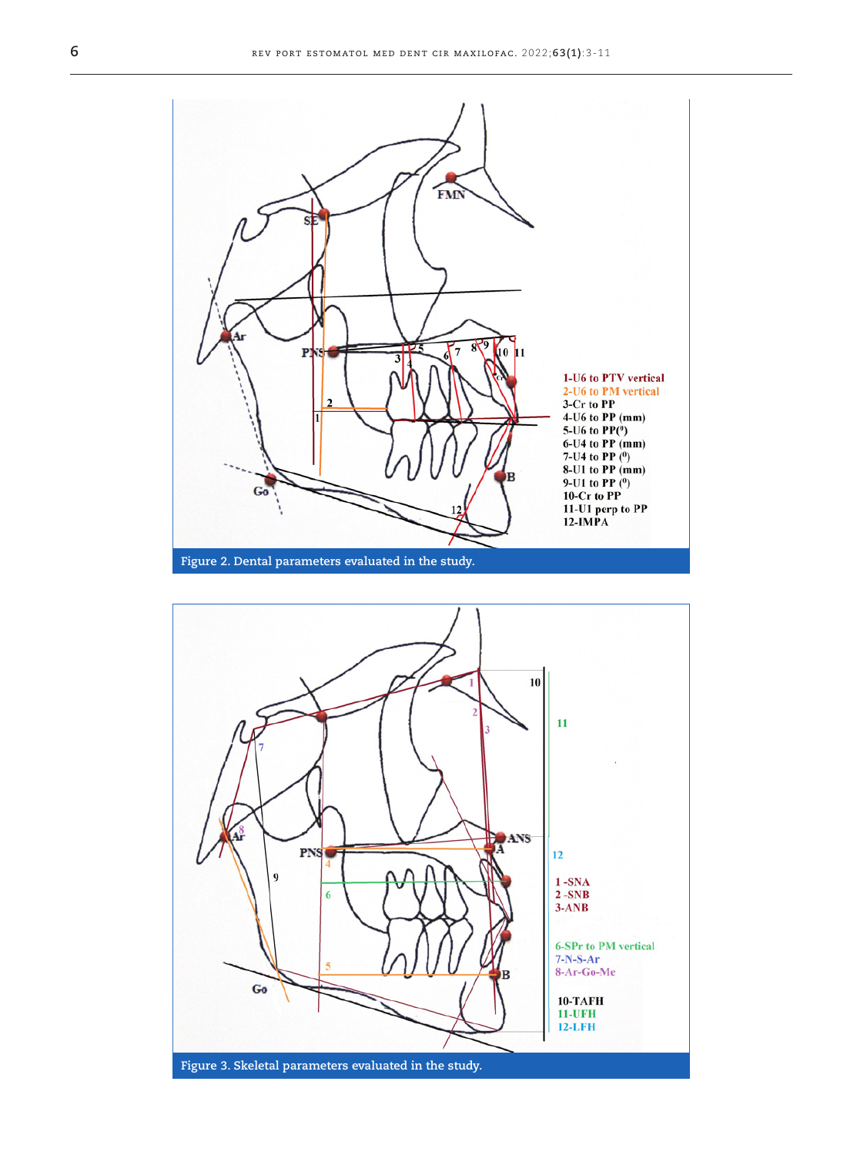

<span id="page-3-1"></span><span id="page-3-0"></span>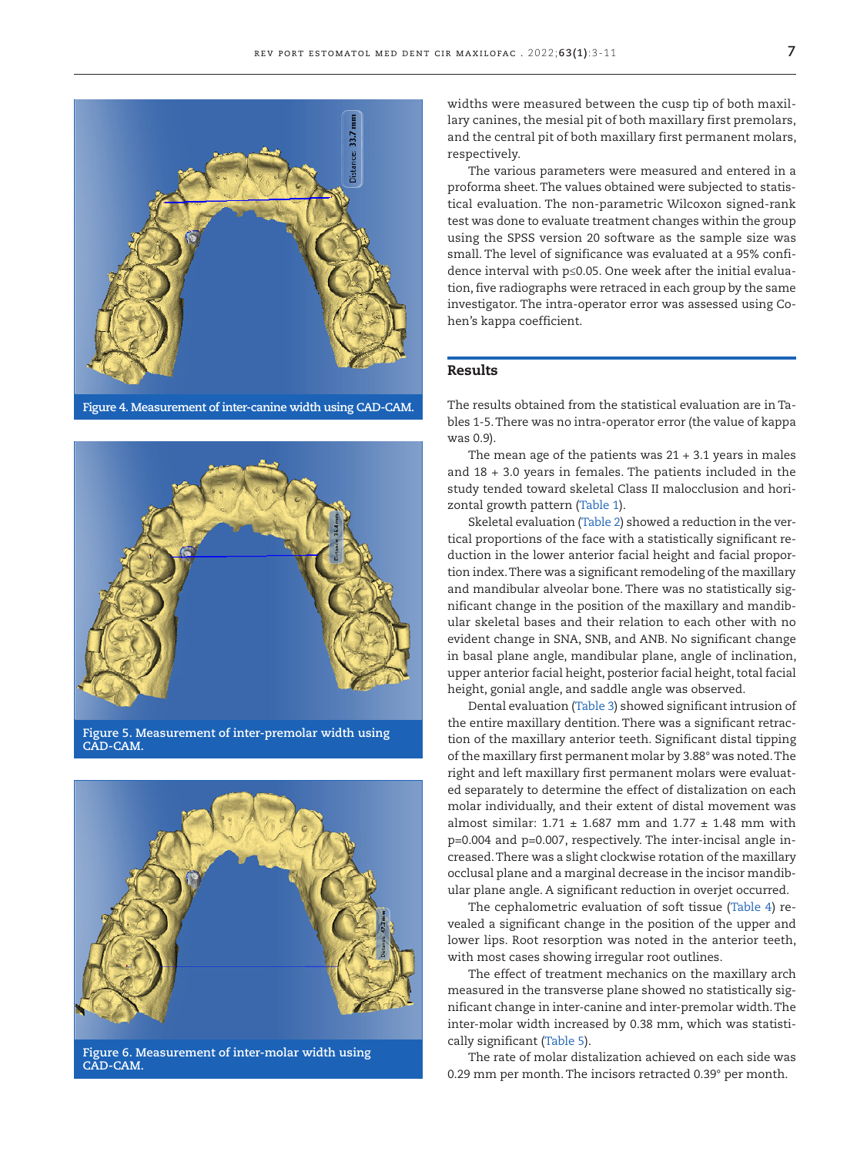

**Figure 4. Measurement of inter-canine width using CAD-CAM.**

<span id="page-4-0"></span>

<span id="page-4-1"></span>**Figure 5. Measurement of inter-premolar width using CAD-CAM.**

<span id="page-4-2"></span>

**Figure 6. Measurement of inter-molar width using CAD-CAM.**

widths were measured between the cusp tip of both maxillary canines, the mesial pit of both maxillary first premolars, and the central pit of both maxillary first permanent molars, respectively.

The various parameters were measured and entered in a proforma sheet. The values obtained were subjected to statistical evaluation. The non-parametric Wilcoxon signed-rank test was done to evaluate treatment changes within the group using the SPSS version 20 software as the sample size was small. The level of significance was evaluated at a 95% confidence interval with p≤0.05. One week after the initial evaluation, five radiographs were retraced in each group by the same investigator. The intra-operator error was assessed using Cohen's kappa coefficient.

#### Results

The results obtained from the statistical evaluation are in Tables 1-5. There was no intra-operator error (the value of kappa was 0.9).

The mean age of the patients was  $21 + 3.1$  years in males and 18 + 3.0 years in females. The patients included in the study tended toward skeletal Class II malocclusion and horizontal growth pattern [\(Table 1\)](#page-2-0).

Skeletal evaluation ([Table 2](#page-5-0)) showed a reduction in the vertical proportions of the face with a statistically significant reduction in the lower anterior facial height and facial proportion index. There was a significant remodeling of the maxillary and mandibular alveolar bone. There was no statistically significant change in the position of the maxillary and mandibular skeletal bases and their relation to each other with no evident change in SNA, SNB, and ANB. No significant change in basal plane angle, mandibular plane, angle of inclination, upper anterior facial height, posterior facial height, total facial height, gonial angle, and saddle angle was observed.

Dental evaluation [\(Table 3](#page-6-0)) showed significant intrusion of the entire maxillary dentition. There was a significant retraction of the maxillary anterior teeth. Significant distal tipping of the maxillary first permanent molar by 3.88°was noted. The right and left maxillary first permanent molars were evaluated separately to determine the effect of distalization on each molar individually, and their extent of distal movement was almost similar:  $1.71 \pm 1.687$  mm and  $1.77 \pm 1.48$  mm with p=0.004 and p=0.007, respectively. The inter-incisal angle increased. There was a slight clockwise rotation of the maxillary occlusal plane and a marginal decrease in the incisor mandibular plane angle. A significant reduction in overjet occurred.

The cephalometric evaluation of soft tissue [\(Table 4](#page-6-1)) revealed a significant change in the position of the upper and lower lips. Root resorption was noted in the anterior teeth, with most cases showing irregular root outlines.

The effect of treatment mechanics on the maxillary arch measured in the transverse plane showed no statistically significant change in inter-canine and inter-premolar width. The inter-molar width increased by 0.38 mm, which was statistically significant [\(Table 5\)](#page-7-0).

The rate of molar distalization achieved on each side was 0.29 mm per month. The incisors retracted 0.39° per month.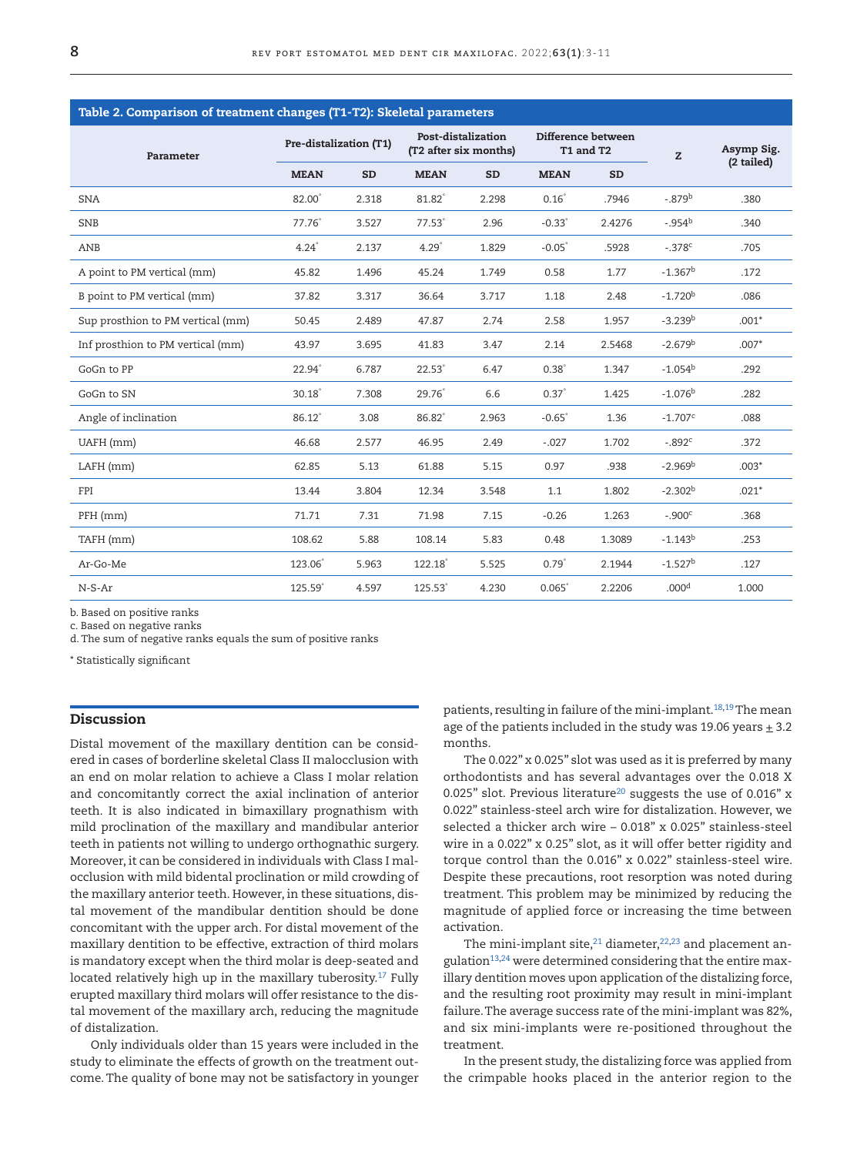<span id="page-5-0"></span>

| Table 2. Comparison of treatment changes (T1-T2): Skeletal parameters |                        |           |                                             |           |                                 |           |                   |            |
|-----------------------------------------------------------------------|------------------------|-----------|---------------------------------------------|-----------|---------------------------------|-----------|-------------------|------------|
| Parameter                                                             | Pre-distalization (T1) |           | Post-distalization<br>(T2 after six months) |           | Difference between<br>T1 and T2 |           | z                 | Asymp Sig. |
|                                                                       | <b>MEAN</b>            | <b>SD</b> | <b>MEAN</b>                                 | <b>SD</b> | <b>MEAN</b>                     | <b>SD</b> |                   | (2 tailed) |
| <b>SNA</b>                                                            | 82.00°                 | 2.318     | 81.82°                                      | 2.298     | $0.16^\circ$                    | .7946     | $-.879b$          | .380       |
| <b>SNB</b>                                                            | $77.76^\circ$          | 3.527     | $77.53^\circ$                               | 2.96      | $-0.33$ °                       | 2.4276    | $-0.954^{b}$      | .340       |
| ANB                                                                   | $4.24^\circ$           | 2.137     | $4.29^\circ$                                | 1.829     | $-0.05^{\circ}$                 | .5928     | $-.378c$          | .705       |
| A point to PM vertical (mm)                                           | 45.82                  | 1.496     | 45.24                                       | 1.749     | 0.58                            | 1.77      | $-1.367b$         | .172       |
| B point to PM vertical (mm)                                           | 37.82                  | 3.317     | 36.64                                       | 3.717     | 1.18                            | 2.48      | $-1.720b$         | .086       |
| Sup prosthion to PM vertical (mm)                                     | 50.45                  | 2.489     | 47.87                                       | 2.74      | 2.58                            | 1.957     | $-3.239b$         | $.001*$    |
| Inf prosthion to PM vertical (mm)                                     | 43.97                  | 3.695     | 41.83                                       | 3.47      | 2.14                            | 2.5468    | $-2.679b$         | $.007*$    |
| GoGn to PP                                                            | $22.94^{\circ}$        | 6.787     | $22.53^{\circ}$                             | 6.47      | $0.38^\circ$                    | 1.347     | $-1.054^{b}$      | .292       |
| GoGn to SN                                                            | $30.18^{\circ}$        | 7.308     | 29.76°                                      | 6.6       | $0.37^\circ$                    | 1.425     | $-1.076b$         | .282       |
| Angle of inclination                                                  | 86.12°                 | 3.08      | 86.82°                                      | 2.963     | $-0.65^{\circ}$                 | 1.36      | $-1.707c$         | .088       |
| UAFH (mm)                                                             | 46.68                  | 2.577     | 46.95                                       | 2.49      | $-.027$                         | 1.702     | $-.892c$          | .372       |
| LAFH (mm)                                                             | 62.85                  | 5.13      | 61.88                                       | 5.15      | 0.97                            | .938      | $-2.969b$         | $.003*$    |
| FPI                                                                   | 13.44                  | 3.804     | 12.34                                       | 3.548     | 1.1                             | 1.802     | $-2.302b$         | $.021*$    |
| PFH (mm)                                                              | 71.71                  | 7.31      | 71.98                                       | 7.15      | $-0.26$                         | 1.263     | $-.900c$          | .368       |
| TAFH (mm)                                                             | 108.62                 | 5.88      | 108.14                                      | 5.83      | 0.48                            | 1.3089    | $-1.143b$         | .253       |
| Ar-Go-Me                                                              | 123.06°                | 5.963     | 122.18°                                     | 5.525     | $0.79^\circ$                    | 2.1944    | $-1.527b$         | .127       |
| N-S-Ar                                                                | 125.59°                | 4.597     | 125.53°                                     | 4.230     | $0.065^{\circ}$                 | 2.2206    | .000 <sup>d</sup> | 1.000      |

b. Based on positive ranks

c. Based on negative ranks

d. The sum of negative ranks equals the sum of positive ranks

\* Statistically significant

#### Discussion

Distal movement of the maxillary dentition can be considered in cases of borderline skeletal Class II malocclusion with an end on molar relation to achieve a Class I molar relation and concomitantly correct the axial inclination of anterior teeth. It is also indicated in bimaxillary prognathism with mild proclination of the maxillary and mandibular anterior teeth in patients not willing to undergo orthognathic surgery. Moreover, it can be considered in individuals with Class I malocclusion with mild bidental proclination or mild crowding of the maxillary anterior teeth. However, in these situations, distal movement of the mandibular dentition should be done concomitant with the upper arch. For distal movement of the maxillary dentition to be effective, extraction of third molars is mandatory except when the third molar is deep-seated and located relatively high up in the maxillary tuberosity.<sup>17</sup> Fully erupted maxillary third molars will offer resistance to the distal movement of the maxillary arch, reducing the magnitude of distalization.

Only individuals older than 15 years were included in the study to eliminate the effects of growth on the treatment outcome. The quality of bone may not be satisfactory in younger patients, resulting in failure of the mini-implant.<sup>18,[19](#page-8-10)</sup> The mean age of the patients included in the study was 19.06 years  $\pm$  3.2 months.

The 0.022" x 0.025" slot was used as it is preferred by many orthodontists and has several advantages over the 0.018 X 0.025" slot. Previous literature<sup>20</sup> suggests the use of 0.016" x 0.022" stainless-steel arch wire for distalization. However, we selected a thicker arch wire – 0.018" x 0.025" stainless-steel wire in a 0.022" x 0.25" slot, as it will offer better rigidity and torque control than the 0.016" x 0.022" stainless-steel wire. Despite these precautions, root resorption was noted during treatment. This problem may be minimized by reducing the magnitude of applied force or increasing the time between activation.

The mini-implant site, $21$  diameter, $22,23$  $22,23$  and placement angulation $^{13,24}$  $^{13,24}$  $^{13,24}$  were determined considering that the entire maxillary dentition moves upon application of the distalizing force, and the resulting root proximity may result in mini-implant failure. The average success rate of the mini-implant was 82%, and six mini-implants were re-positioned throughout the treatment.

In the present study, the distalizing force was applied from the crimpable hooks placed in the anterior region to the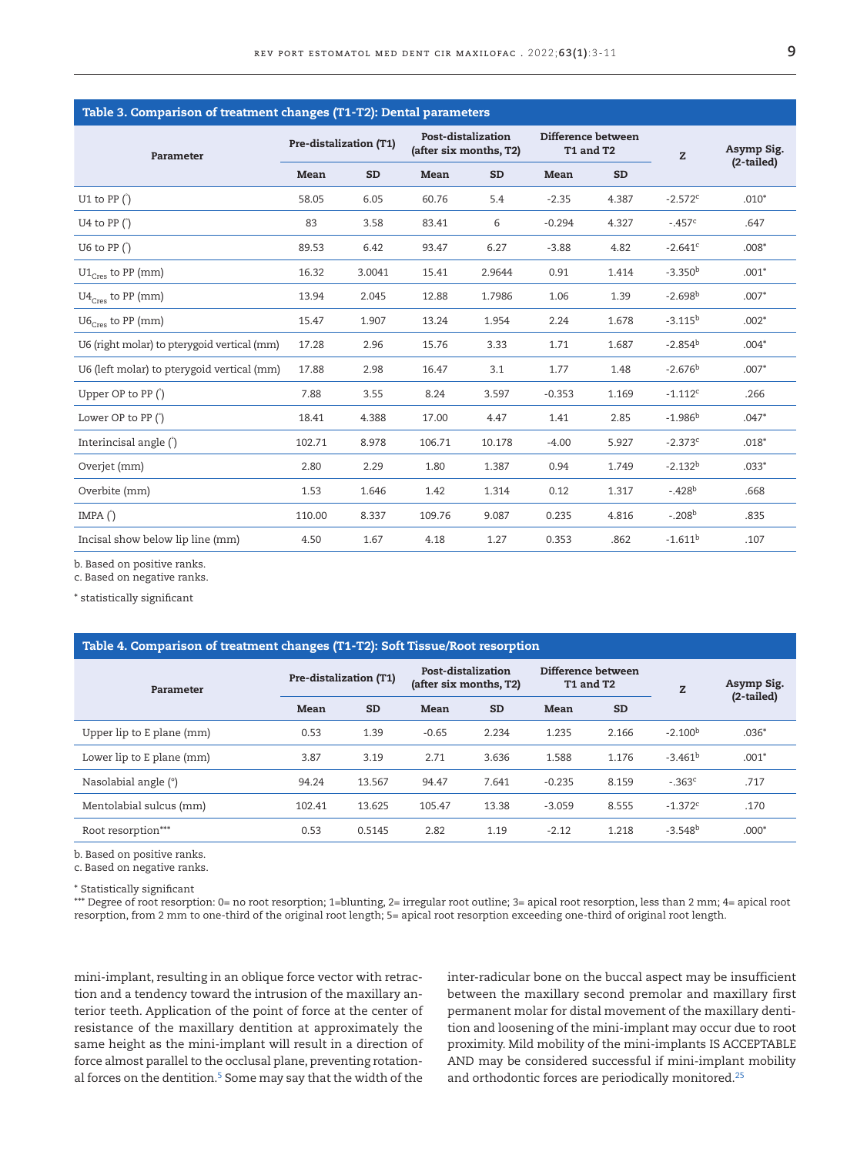<span id="page-6-0"></span>

| Table 3. Comparison of treatment changes (T1-T2): Dental parameters |                        |           |                                              |           |                                 |           |              |                          |
|---------------------------------------------------------------------|------------------------|-----------|----------------------------------------------|-----------|---------------------------------|-----------|--------------|--------------------------|
| Parameter                                                           | Pre-distalization (T1) |           | Post-distalization<br>(after six months, T2) |           | Difference between<br>T1 and T2 |           | z            | Asymp Sig.<br>(2-tailed) |
|                                                                     | Mean                   | <b>SD</b> | Mean                                         | <b>SD</b> | Mean                            | <b>SD</b> |              |                          |
| U1 to PP $(^\circ)$                                                 | 58.05                  | 6.05      | 60.76                                        | 5.4       | $-2.35$                         | 4.387     | $-2.572c$    | $.010*$                  |
| U4 to PP $(^\circ)$                                                 | 83                     | 3.58      | 83.41                                        | 6         | $-0.294$                        | 4.327     | $-0.457c$    | .647                     |
| U6 to PP $(^{\circ})$                                               | 89.53                  | 6.42      | 93.47                                        | 6.27      | $-3.88$                         | 4.82      | $-2.641c$    | $.008*$                  |
| $\mathrm{U1}_\mathrm{Cres}$ to PP (mm)                              | 16.32                  | 3.0041    | 15.41                                        | 2.9644    | 0.91                            | 1.414     | $-3.350b$    | $.001*$                  |
| $\mathrm{U4}_{\mathrm{Cres}}$ to PP (mm)                            | 13.94                  | 2.045     | 12.88                                        | 1.7986    | 1.06                            | 1.39      | $-2.698b$    | $.007*$                  |
| $\mathrm{U6}_\mathrm{Cres}$ to PP (mm)                              | 15.47                  | 1.907     | 13.24                                        | 1.954     | 2.24                            | 1.678     | $-3.115b$    | $.002*$                  |
| U6 (right molar) to pterygoid vertical (mm)                         | 17.28                  | 2.96      | 15.76                                        | 3.33      | 1.71                            | 1.687     | $-2.854^{b}$ | $.004*$                  |
| U6 (left molar) to pterygoid vertical (mm)                          | 17.88                  | 2.98      | 16.47                                        | 3.1       | 1.77                            | 1.48      | $-2.676^{b}$ | $.007*$                  |
| Upper OP to PP $()$                                                 | 7.88                   | 3.55      | 8.24                                         | 3.597     | $-0.353$                        | 1.169     | $-1.112c$    | .266                     |
| Lower OP to PP $(^{\circ})$                                         | 18.41                  | 4.388     | 17.00                                        | 4.47      | 1.41                            | 2.85      | $-1.986b$    | $.047*$                  |
| Interincisal angle (°)                                              | 102.71                 | 8.978     | 106.71                                       | 10.178    | $-4.00$                         | 5.927     | $-2.373c$    | $.018*$                  |
| Overjet (mm)                                                        | 2.80                   | 2.29      | 1.80                                         | 1.387     | 0.94                            | 1.749     | $-2.132b$    | $.033*$                  |
| Overbite (mm)                                                       | 1.53                   | 1.646     | 1.42                                         | 1.314     | 0.12                            | 1.317     | $-.428b$     | .668                     |
| IMPA $(°)$                                                          | 110.00                 | 8.337     | 109.76                                       | 9.087     | 0.235                           | 4.816     | $-.208b$     | .835                     |
| Incisal show below lip line (mm)                                    | 4.50                   | 1.67      | 4.18                                         | 1.27      | 0.353                           | .862      | $-1.611^{b}$ | .107                     |

b. Based on positive ranks.

c. Based on negative ranks.

\* statistically significant

<span id="page-6-1"></span>

| Table 4. Comparison of treatment changes (T1-T2): Soft Tissue/Root resorption |                        |           |                                              |           |                                 |           |           |            |  |
|-------------------------------------------------------------------------------|------------------------|-----------|----------------------------------------------|-----------|---------------------------------|-----------|-----------|------------|--|
| Parameter                                                                     | Pre-distalization (T1) |           | Post-distalization<br>(after six months, T2) |           | Difference between<br>T1 and T2 |           | Z         | Asymp Sig. |  |
|                                                                               | Mean                   | <b>SD</b> | Mean                                         | <b>SD</b> | Mean                            | <b>SD</b> |           | (2-tailed) |  |
| Upper lip to E plane (mm)                                                     | 0.53                   | 1.39      | $-0.65$                                      | 2.234     | 1.235                           | 2.166     | $-2.100b$ | $.036*$    |  |
| Lower lip to E plane (mm)                                                     | 3.87                   | 3.19      | 2.71                                         | 3.636     | 1.588                           | 1.176     | $-3.461b$ | $.001*$    |  |
| Nasolabial angle (°)                                                          | 94.24                  | 13.567    | 94.47                                        | 7.641     | $-0.235$                        | 8.159     | $-.363c$  | .717       |  |
| Mentolabial sulcus (mm)                                                       | 102.41                 | 13.625    | 105.47                                       | 13.38     | $-3.059$                        | 8.555     | $-1.372c$ | .170       |  |
| Root resorption***                                                            | 0.53                   | 0.5145    | 2.82                                         | 1.19      | $-2.12$                         | 1.218     | $-3.548b$ | $.000*$    |  |

b. Based on positive ranks.

c. Based on negative ranks.

\* Statistically significant

\*\*\* Degree of root resorption: 0= no root resorption; 1=blunting, 2= irregular root outline; 3= apical root resorption, less than 2 mm; 4= apical root resorption, from 2 mm to one-third of the original root length; 5= apical root resorption exceeding one-third of original root length.

mini-implant, resulting in an oblique force vector with retraction and a tendency toward the intrusion of the maxillary anterior teeth. Application of the point of force at the center of resistance of the maxillary dentition at approximately the same height as the mini-implant will result in a direction of force almost parallel to the occlusal plane, preventing rotational forces on the dentition.<sup>5</sup> Some may say that the width of the inter-radicular bone on the buccal aspect may be insufficient between the maxillary second premolar and maxillary first permanent molar for distal movement of the maxillary dentition and loosening of the mini-implant may occur due to root proximity. Mild mobility of the mini-implants IS ACCEPTABLE AND may be considered successful if mini-implant mobility and orthodontic forces are periodically monitored[.25](#page-8-17)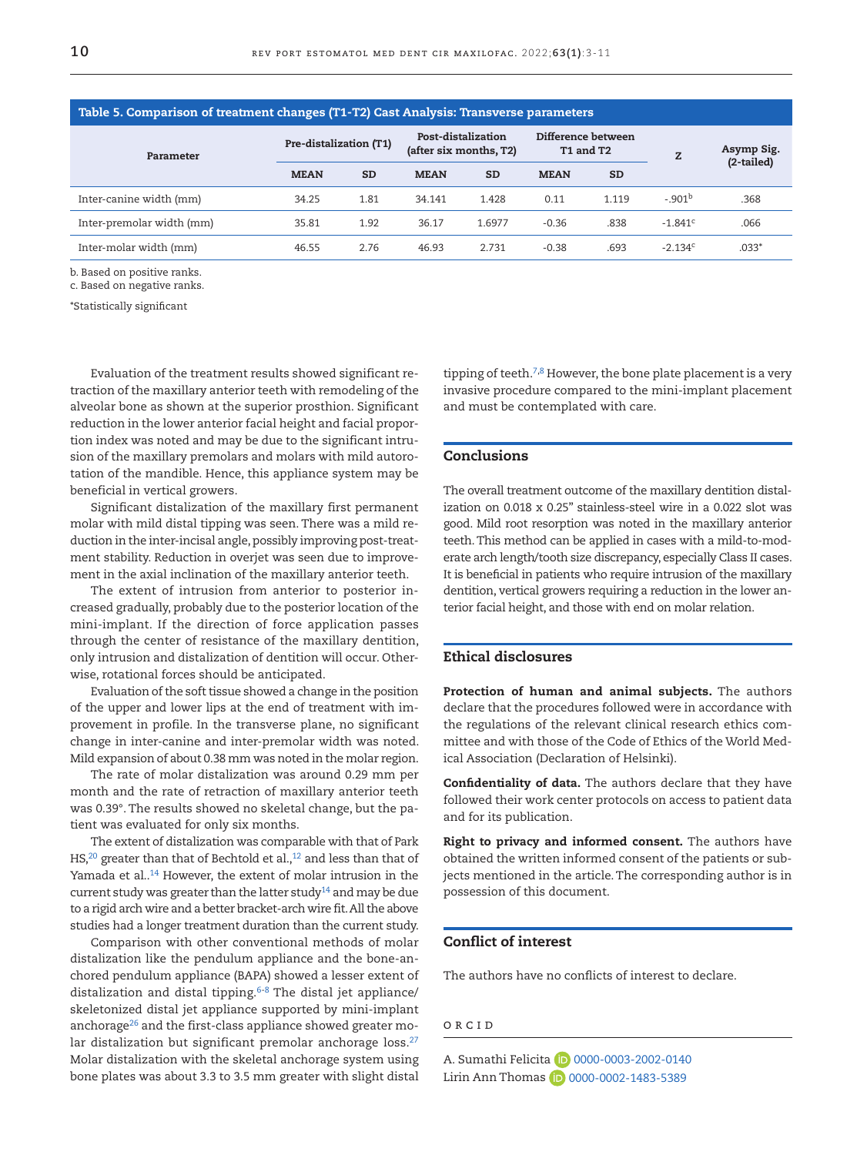<span id="page-7-0"></span>

| Table 5. Comparison of treatment changes (T1-T2) Cast Analysis: Transverse parameters |                        |           |                                              |           |                                 |           |           |                          |  |
|---------------------------------------------------------------------------------------|------------------------|-----------|----------------------------------------------|-----------|---------------------------------|-----------|-----------|--------------------------|--|
| Parameter                                                                             | Pre-distalization (T1) |           | Post-distalization<br>(after six months, T2) |           | Difference between<br>T1 and T2 |           | Z.        | Asymp Sig.<br>(2-tailed) |  |
|                                                                                       | <b>MEAN</b>            | <b>SD</b> | <b>MEAN</b>                                  | <b>SD</b> | <b>MEAN</b>                     | <b>SD</b> |           |                          |  |
| Inter-canine width (mm)                                                               | 34.25                  | 1.81      | 34.141                                       | 1.428     | 0.11                            | 1.119     | $-901b$   | .368                     |  |
| Inter-premolar width (mm)                                                             | 35.81                  | 1.92      | 36.17                                        | 1.6977    | $-0.36$                         | .838      | $-1.841c$ | .066                     |  |
| Inter-molar width (mm)                                                                | 46.55                  | 2.76      | 46.93                                        | 2.731     | $-0.38$                         | .693      | $-2.134c$ | $.033*$                  |  |

b. Based on positive ranks.

c. Based on negative ranks.

\*Statistically significant

Evaluation of the treatment results showed significant retraction of the maxillary anterior teeth with remodeling of the alveolar bone as shown at the superior prosthion. Significant reduction in the lower anterior facial height and facial proportion index was noted and may be due to the significant intrusion of the maxillary premolars and molars with mild autorotation of the mandible. Hence, this appliance system may be beneficial in vertical growers.

Significant distalization of the maxillary first permanent molar with mild distal tipping was seen. There was a mild reduction in the inter-incisal angle, possibly improving post-treatment stability. Reduction in overjet was seen due to improvement in the axial inclination of the maxillary anterior teeth.

The extent of intrusion from anterior to posterior increased gradually, probably due to the posterior location of the mini-implant. If the direction of force application passes through the center of resistance of the maxillary dentition, only intrusion and distalization of dentition will occur. Otherwise, rotational forces should be anticipated.

Evaluation of the soft tissue showed a change in the position of the upper and lower lips at the end of treatment with improvement in profile. In the transverse plane, no significant change in inter-canine and inter-premolar width was noted. Mild expansion of about 0.38 mm was noted in the molar region.

The rate of molar distalization was around 0.29 mm per month and the rate of retraction of maxillary anterior teeth was 0.39°. The results showed no skeletal change, but the patient was evaluated for only six months.

The extent of distalization was comparable with that of Park  $HS<sub>1</sub><sup>20</sup>$  greater than that of Bechtold et al.,<sup>12</sup> and less than that of Yamada et al..<sup>14</sup> However, the extent of molar intrusion in the current study was greater than the latter study<sup>[14](#page-8-5)</sup> and may be due to a rigid arch wire and a better bracket-arch wire fit. All the above studies had a longer treatment duration than the current study.

Comparison with other conventional methods of molar distalization like the pendulum appliance and the bone-anchored pendulum appliance (BAPA) showed a lesser extent of distalization and distal tipping.<sup>[6-](#page-8-2)[8](#page-8-18)</sup> The distal jet appliance/ skeletonized distal jet appliance supported by mini-implant anchorage<sup>[26](#page-8-19)</sup> and the first-class appliance showed greater mo-lar distalization but significant premolar anchorage loss.<sup>[27](#page-8-20)</sup> Molar distalization with the skeletal anchorage system using bone plates was about 3.3 to 3.5 mm greater with slight distal

tipping of teeth.<sup>7,8</sup> However, the bone plate placement is a very invasive procedure compared to the mini-implant placement and must be contemplated with care.

#### Conclusions

The overall treatment outcome of the maxillary dentition distalization on 0.018 x 0.25" stainless-steel wire in a 0.022 slot was good. Mild root resorption was noted in the maxillary anterior teeth. This method can be applied in cases with a mild-to-moderate arch length/tooth size discrepancy, especially Class II cases. It is beneficial in patients who require intrusion of the maxillary dentition, vertical growers requiring a reduction in the lower anterior facial height, and those with end on molar relation.

#### Ethical disclosures

Protection of human and animal subjects. The authors declare that the procedures followed were in accordance with the regulations of the relevant clinical research ethics committee and with those of the Code of Ethics of the World Medical Association (Declaration of Helsinki).

Confidentiality of data. The authors declare that they have followed their work center protocols on access to patient data and for its publication.

Right to privacy and informed consent. The authors have obtained the written informed consent of the patients or subjects mentioned in the article. The corresponding author is in possession of this document.

### Conflict of interest

The authors have no conflicts of interest to declare.

#### orcid

A. Sumathi Felicita (D [0000-0003-2002-0140](https://orcid.org/0000-0003-2002-0140) Lirin Ann Thomas (D 0000-0002-1483-5389